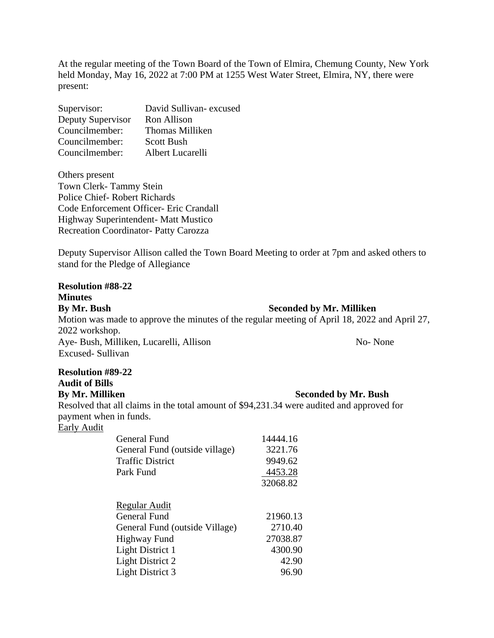At the regular meeting of the Town Board of the Town of Elmira, Chemung County, New York held Monday, May 16, 2022 at 7:00 PM at 1255 West Water Street, Elmira, NY, there were present:

| Supervisor:       | David Sullivan-excused |
|-------------------|------------------------|
| Deputy Supervisor | Ron Allison            |
| Councilmember:    | <b>Thomas Milliken</b> |
| Councilmember:    | <b>Scott Bush</b>      |
| Councilmember:    | Albert Lucarelli       |

Others present Town Clerk- Tammy Stein Police Chief- Robert Richards Code Enforcement Officer- Eric Crandall Highway Superintendent- Matt Mustico Recreation Coordinator- Patty Carozza

**Resolution #89-22**

Deputy Supervisor Allison called the Town Board Meeting to order at 7pm and asked others to stand for the Pledge of Allegiance

| <b>Resolution #88-22</b>                                                                      |                                 |
|-----------------------------------------------------------------------------------------------|---------------------------------|
| <b>Minutes</b>                                                                                |                                 |
| By Mr. Bush                                                                                   | <b>Seconded by Mr. Milliken</b> |
| Motion was made to approve the minutes of the regular meeting of April 18, 2022 and April 27, |                                 |
| 2022 workshop.                                                                                |                                 |
| Aye- Bush, Milliken, Lucarelli, Allison                                                       | No-None                         |
| Excused-Sullivan                                                                              |                                 |
|                                                                                               |                                 |

**Audit of Bills By Mr. Milliken Seconded by Mr. Bush** Resolved that all claims in the total amount of \$94,231.34 were audited and approved for payment when in funds. Early Audit

| 14444.16 |
|----------|
| 3221.76  |
| 9949.62  |
| 4453.28  |
| 32068.82 |
|          |
| 21960.13 |
| 2710.40  |
| 27038.87 |
| 4300.90  |
| 42.90    |
| 96.90    |
|          |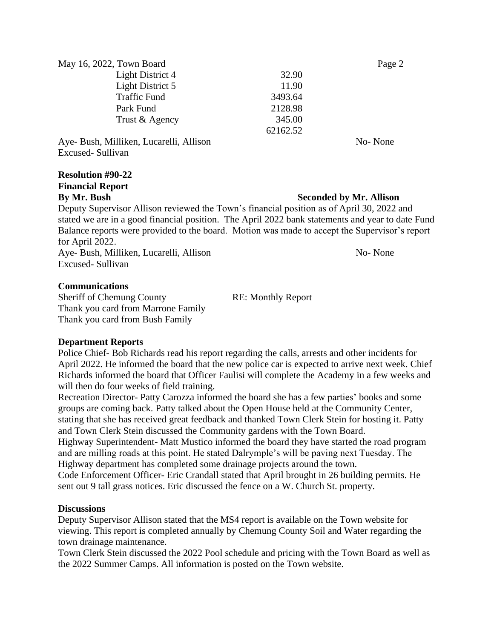| May 16, 2022, Town Board                                                       |          | Page 2       |
|--------------------------------------------------------------------------------|----------|--------------|
| Light District 4                                                               | 32.90    |              |
| Light District 5                                                               | 11.90    |              |
| <b>Traffic Fund</b>                                                            | 3493.64  |              |
| Park Fund                                                                      | 2128.98  |              |
| Trust & Agency                                                                 | 345.00   |              |
|                                                                                | 62162.52 |              |
| $\mathbf{r}$ in $\mathbf{r}$ is $\mathbf{r}$ in $\mathbf{r}$<br>$\blacksquare$ |          | $\mathbf{v}$ |

Aye- Bush, Milliken, Lucarelli, Allison No- None No- None Excused- Sullivan

# **Resolution #90-22 Financial Report**

**By Mr. Bush Seconded by Mr. Allison** 

Deputy Supervisor Allison reviewed the Town's financial position as of April 30, 2022 and stated we are in a good financial position. The April 2022 bank statements and year to date Fund Balance reports were provided to the board. Motion was made to accept the Supervisor's report for April 2022.

Aye- Bush, Milliken, Lucarelli, Allison No- None Excused- Sullivan

### **Communications**

Sheriff of Chemung County RE: Monthly Report Thank you card from Marrone Family Thank you card from Bush Family

#### **Department Reports**

Police Chief- Bob Richards read his report regarding the calls, arrests and other incidents for April 2022. He informed the board that the new police car is expected to arrive next week. Chief Richards informed the board that Officer Faulisi will complete the Academy in a few weeks and will then do four weeks of field training.

Recreation Director- Patty Carozza informed the board she has a few parties' books and some groups are coming back. Patty talked about the Open House held at the Community Center, stating that she has received great feedback and thanked Town Clerk Stein for hosting it. Patty and Town Clerk Stein discussed the Community gardens with the Town Board.

Highway Superintendent- Matt Mustico informed the board they have started the road program and are milling roads at this point. He stated Dalrymple's will be paving next Tuesday. The Highway department has completed some drainage projects around the town.

Code Enforcement Officer- Eric Crandall stated that April brought in 26 building permits. He sent out 9 tall grass notices. Eric discussed the fence on a W. Church St. property.

#### **Discussions**

Deputy Supervisor Allison stated that the MS4 report is available on the Town website for viewing. This report is completed annually by Chemung County Soil and Water regarding the town drainage maintenance.

Town Clerk Stein discussed the 2022 Pool schedule and pricing with the Town Board as well as the 2022 Summer Camps. All information is posted on the Town website.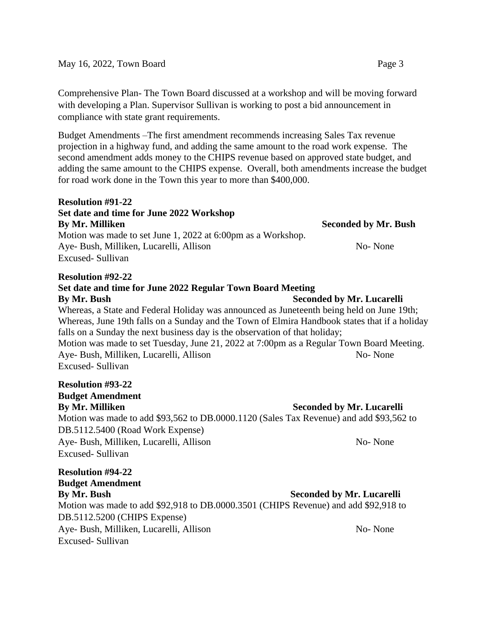Comprehensive Plan- The Town Board discussed at a workshop and will be moving forward with developing a Plan. Supervisor Sullivan is working to post a bid announcement in compliance with state grant requirements.

Budget Amendments –The first amendment recommends increasing Sales Tax revenue projection in a highway fund, and adding the same amount to the road work expense. The second amendment adds money to the CHIPS revenue based on approved state budget, and adding the same amount to the CHIPS expense. Overall, both amendments increase the budget for road work done in the Town this year to more than \$400,000.

## **Resolution #91-22 Set date and time for June 2022 Workshop By Mr. Milliken Seconded by Mr. Bush** Motion was made to set June 1, 2022 at 6:00pm as a Workshop. Aye- Bush, Milliken, Lucarelli, Allison No- None No- None Excused- Sullivan

#### **Resolution #92-22**

## **Set date and time for June 2022 Regular Town Board Meeting**

#### **By Mr. Bush Seconded by Mr. Lucarelli** Whereas, a State and Federal Holiday was announced as Juneteenth being held on June 19th; Whereas, June 19th falls on a Sunday and the Town of Elmira Handbook states that if a holiday falls on a Sunday the next business day is the observation of that holiday; Motion was made to set Tuesday, June 21, 2022 at 7:00pm as a Regular Town Board Meeting. Aye- Bush, Milliken, Lucarelli, Allison No- None Excused- Sullivan

## **Resolution #93-22 Budget Amendment**

**By Mr. Milliken Seconded by Mr. Lucarelli** Motion was made to add \$93,562 to DB.0000.1120 (Sales Tax Revenue) and add \$93,562 to DB.5112.5400 (Road Work Expense) Aye- Bush, Milliken, Lucarelli, Allison No- None Excused- Sullivan

**Resolution #94-22 Budget Amendment By Mr. Bush Seconded by Mr. Lucarelli** Motion was made to add \$92,918 to DB.0000.3501 (CHIPS Revenue) and add \$92,918 to DB.5112.5200 (CHIPS Expense) Aye- Bush, Milliken, Lucarelli, Allison No- None Excused- Sullivan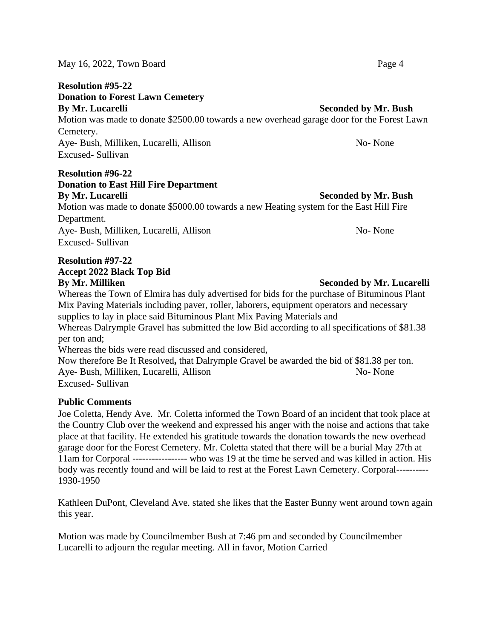#### May 16, 2022, Town Board Page 4

#### **Resolution #95-22**

**Donation to Forest Lawn Cemetery** 

#### **By Mr. Lucarelli** Seconded by Mr. Bush

Motion was made to donate \$2500.00 towards a new overhead garage door for the Forest Lawn Cemetery. Aye- Bush, Milliken, Lucarelli, Allison No- None No- None

Excused- Sullivan

## **Resolution #96-22 Donation to East Hill Fire Department By Mr. Lucarelli** Seconded by Mr. Bush

Motion was made to donate \$5000.00 towards a new Heating system for the East Hill Fire Department. Aye- Bush, Milliken, Lucarelli, Allison No- None Excused- Sullivan

## **Resolution #97-22 Accept 2022 Black Top Bid**

Whereas the Town of Elmira has duly advertised for bids for the purchase of Bituminous Plant Mix Paving Materials including paver, roller, laborers, equipment operators and necessary supplies to lay in place said Bituminous Plant Mix Paving Materials and Whereas Dalrymple Gravel has submitted the low Bid according to all specifications of \$81.38 per ton and; Whereas the bids were read discussed and considered, Now therefore Be It Resolved**,** that Dalrymple Gravel be awarded the bid of \$81.38 per ton. Aye- Bush, Milliken, Lucarelli, Allison No- None Excused- Sullivan

### **Public Comments**

Joe Coletta, Hendy Ave. Mr. Coletta informed the Town Board of an incident that took place at the Country Club over the weekend and expressed his anger with the noise and actions that take place at that facility. He extended his gratitude towards the donation towards the new overhead garage door for the Forest Cemetery. Mr. Coletta stated that there will be a burial May 27th at 11am for Corporal ----------------- who was 19 at the time he served and was killed in action. His body was recently found and will be laid to rest at the Forest Lawn Cemetery. Corporal---------- 1930-1950

Kathleen DuPont, Cleveland Ave. stated she likes that the Easter Bunny went around town again this year.

Motion was made by Councilmember Bush at 7:46 pm and seconded by Councilmember Lucarelli to adjourn the regular meeting. All in favor, Motion Carried

### **By Mr. Milliken Seconded by Mr. Lucarelli**